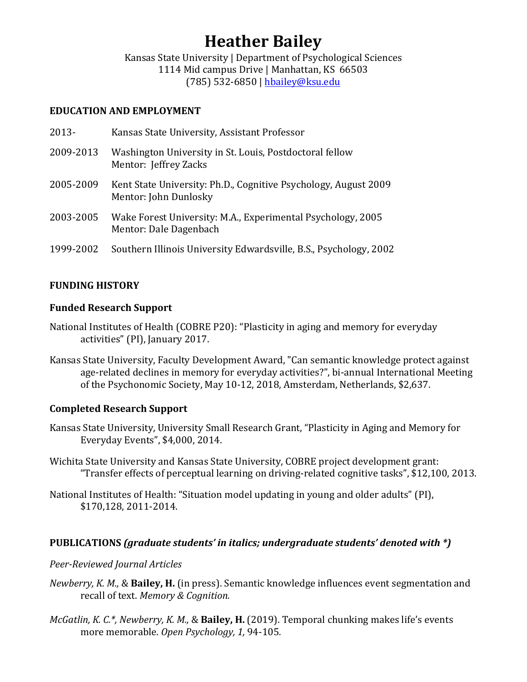# **Heather Bailey**

Kansas State University | Department of Psychological Sciences 1114 Mid campus Drive | Manhattan, KS 66503 (785) 532-6850 | hbailey@ksu.edu

## **EDUCATION AND EMPLOYMENT**

| $2013 -$  | Kansas State University, Assistant Professor                                             |
|-----------|------------------------------------------------------------------------------------------|
| 2009-2013 | Washington University in St. Louis, Postdoctoral fellow<br>Mentor: Jeffrey Zacks         |
| 2005-2009 | Kent State University: Ph.D., Cognitive Psychology, August 2009<br>Mentor: John Dunlosky |
| 2003-2005 | Wake Forest University: M.A., Experimental Psychology, 2005<br>Mentor: Dale Dagenbach    |
| 1999-2002 | Southern Illinois University Edwardsville, B.S., Psychology, 2002                        |

# **FUNDING HISTORY**

## **Funded Research Support**

- National Institutes of Health (COBRE P20): "Plasticity in aging and memory for everyday activities" (PI), January 2017.
- Kansas State University, Faculty Development Award, "Can semantic knowledge protect against age-related declines in memory for everyday activities?", bi-annual International Meeting of the Psychonomic Society, May 10-12, 2018, Amsterdam, Netherlands, \$2,637.

# **Completed Research Support**

- Kansas State University, University Small Research Grant, "Plasticity in Aging and Memory for Everyday Events", \$4,000, 2014.
- Wichita State University and Kansas State University, COBRE project development grant: "Transfer effects of perceptual learning on driving-related cognitive tasks", \$12,100, 2013.
- National Institutes of Health: "Situation model updating in young and older adults" (PI), \$170,128, 2011-2014.

# **PUBLICATIONS** (graduate students' in italics; undergraduate students' denoted with \*)

## *Peer-Reviewed Journal Articles*

- *Newberry, K. M., & Bailey, H.* (in press). Semantic knowledge influences event segmentation and recall of text. Memory & Cognition.
- *McGatlin, K. C.\*, Newberry, K. M., & Bailey, H.* (2019). Temporal chunking makes life's events more memorable. Open Psychology, 1, 94-105.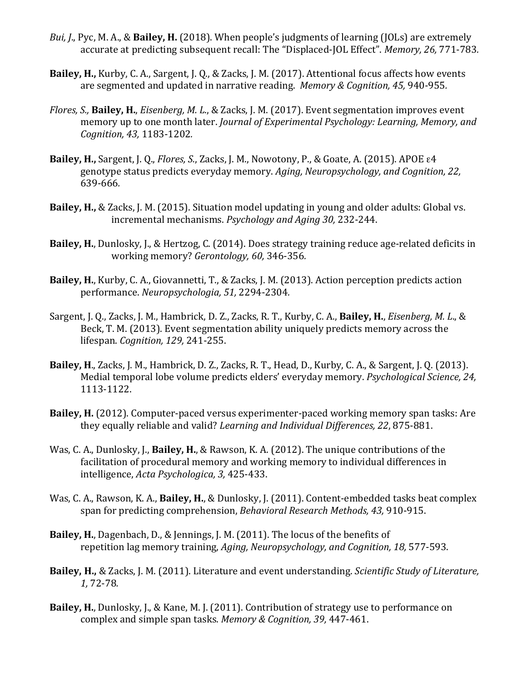- *Bui, J.*, Pyc, M. A., & Bailey, H. (2018). When people's judgments of learning (JOLs) are extremely accurate at predicting subsequent recall: The "Displaced-JOL Effect". *Memory, 26, 771-783.*
- **Bailey, H.,** Kurby, C. A., Sargent, J. O., & Zacks, J. M. (2017). Attentional focus affects how events are segmented and updated in narrative reading. Memory & Cognition, 45, 940-955.
- *Flores, S., Bailey, H., Eisenberg, M. L., & Zacks, J. M. (2017). Event segmentation improves event* memory up to one month later. *Journal of Experimental Psychology: Learning, Memory, and Cognition, 43,* 1183-1202*.*
- **Bailey, H., Sargent, J. Q.,** *Flores, S.***, Zacks, J. M., Nowotony, P., & Goate, A. (2015).** APOE ε4 genotype status predicts everyday memory. Aging, Neuropsychology, and Cognition, 22, 639-666*.*
- **Bailey, H., & Zacks, J. M. (2015). Situation model updating in young and older adults: Global vs.** incremental mechanisms. *Psychology and Aging 30, 232-244.*
- **Bailey, H.**, Dunlosky, J., & Hertzog, C. (2014). Does strategy training reduce age-related deficits in working memory? *Gerontology, 60,* 346-356.
- **Bailey, H.**, Kurby, C. A., Giovannetti, T., & Zacks, J. M. (2013). Action perception predicts action performance. *Neuropsychologia, 51,* 2294-2304*.*
- Sargent, J. Q., Zacks, J. M., Hambrick, D. Z., Zacks, R. T., Kurby, C. A., **Bailey, H.**, *Eisenberg, M. L.*, & Beck, T. M. (2013). Event segmentation ability uniquely predicts memory across the lifespan. *Cognition, 129,* 241-255.
- **Bailey, H., Zacks, J. M., Hambrick, D. Z., Zacks, R. T., Head, D., Kurby, C. A., & Sargent, J. Q. (2013).** Medial temporal lobe volume predicts elders' everyday memory. *Psychological Science*, 24, 1113-1122.
- **Bailey, H.** (2012). Computer-paced versus experimenter-paced working memory span tasks: Are they equally reliable and valid? *Learning and Individual Differences, 22, 875-881.*
- Was, C. A., Dunlosky, J., **Bailey, H.**, & Rawson, K. A. (2012). The unique contributions of the facilitation of procedural memory and working memory to individual differences in intelligence, *Acta Psychologica, 3,* 425-433.
- Was, C. A., Rawson, K. A., Bailey, H., & Dunlosky, J. (2011). Content-embedded tasks beat complex span for predicting comprehension, *Behavioral Research Methods, 43, 910-915.*
- **Bailey, H.**, Dagenbach, D., & Jennings, J. M. (2011). The locus of the benefits of repetition lag memory training, *Aging, Neuropsychology, and Cognition, 18, 577-593.*
- **Bailey, H., & Zacks, J. M. (2011).** Literature and event understanding. *Scientific Study of Literature*, *1,* 72-78*.*
- **Bailey, H.**, Dunlosky, J., & Kane, M. J. (2011). Contribution of strategy use to performance on complex and simple span tasks. *Memory & Cognition, 39, 447-461*.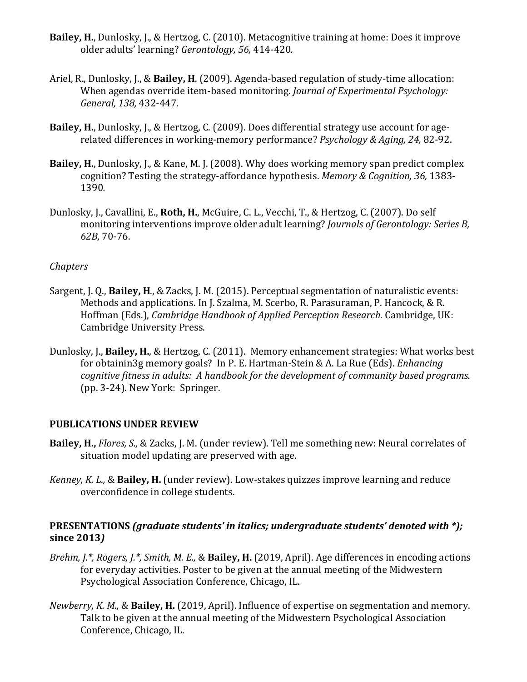- **Bailey, H.,** Dunlosky, J., & Hertzog, C. (2010). Metacognitive training at home: Does it improve older adults' learning? *Gerontology, 56,* 414-420*.*
- Ariel, R., Dunlosky, J., & Bailey, H. (2009). Agenda-based regulation of study-time allocation: When agendas override item-based monitoring. *Journal of Experimental Psychology: General, 138,* 432-447.
- **Bailey, H.**, Dunlosky, J., & Hertzog, C. (2009). Does differential strategy use account for agerelated differences in working-memory performance? *Psychology & Aging, 24, 82-92.*
- **Bailey, H.**, Dunlosky, J., & Kane, M. J. (2008). Why does working memory span predict complex cognition? Testing the strategy-affordance hypothesis. *Memory & Cognition, 36, 1383-*1390*.*
- Dunlosky, J., Cavallini, E., **Roth, H.**, McGuire, C. L., Vecchi, T., & Hertzog, C. (2007). Do self monitoring interventions improve older adult learning? *Journals of Gerontology: Series B, 62B*, 70-76.

## *Chapters*

- Sargent, J. Q., **Bailey, H.**, & Zacks, J. M. (2015). Perceptual segmentation of naturalistic events: Methods and applications. In J. Szalma, M. Scerbo, R. Parasuraman, P. Hancock, & R. Hoffman (Eds.), *Cambridge Handbook of Applied Perception Research*. Cambridge, UK: Cambridge University Press.
- Dunlosky, J., **Bailey, H.**, & Hertzog, C. (2011). Memory enhancement strategies: What works best for obtainin3g memory goals? In P. E. Hartman-Stein & A. La Rue (Eds). *Enhancing cognitive fitness in adults: A handbook for the development of community based programs.* (pp. 3-24). New York: Springer.

## **PUBLICATIONS UNDER REVIEW**

- **Bailey, H.,** *Flores, S., & Zacks, J. M.* (under review). Tell me something new: Neural correlates of situation model updating are preserved with age.
- *Kenney, K. L.,* & **Bailey, H.** (under review). Low-stakes quizzes improve learning and reduce overconfidence in college students.

## **PRESENTATIONS** (graduate students' in italics; undergraduate students' denoted with \*); **since 2013***)*

- *Brehm, J.\*, Rogers, J.\*, Smith, M. E., & Bailey, H.* (2019, April). Age differences in encoding actions for everyday activities. Poster to be given at the annual meeting of the Midwestern Psychological Association Conference, Chicago, IL.
- *Newberry, K. M., & Bailey, H.* (2019, April). Influence of expertise on segmentation and memory. Talk to be given at the annual meeting of the Midwestern Psychological Association Conference, Chicago, IL.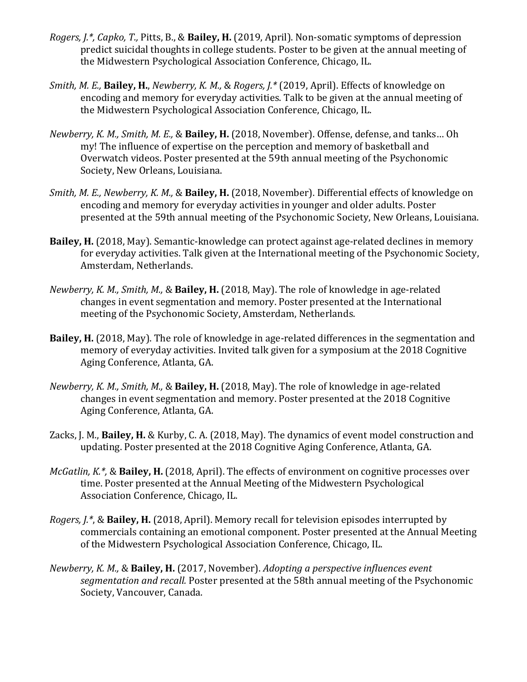- *Rogers, J.\*, Capko, T., Pitts, B., & Bailey, H. (2019, April).* Non-somatic symptoms of depression predict suicidal thoughts in college students. Poster to be given at the annual meeting of the Midwestern Psychological Association Conference, Chicago, IL.
- *Smith, M. E., Bailey, H., Newberry, K. M., & Rogers, J.\** (2019, April). *Effects* of knowledge on encoding and memory for everyday activities. Talk to be given at the annual meeting of the Midwestern Psychological Association Conference, Chicago, IL.
- *Newberry, K. M., Smith, M. E., & Bailey, H.* (2018, November). Offense, defense, and tanks... Oh my! The influence of expertise on the perception and memory of basketball and Overwatch videos. Poster presented at the 59th annual meeting of the Psychonomic Society, New Orleans, Louisiana.
- *Smith, M. E., Newberry, K. M., & Bailey, H.* (2018, November). Differential effects of knowledge on encoding and memory for everyday activities in younger and older adults. Poster presented at the 59th annual meeting of the Psychonomic Society, New Orleans, Louisiana.
- **Bailey, H.** (2018, May). Semantic-knowledge can protect against age-related declines in memory for everyday activities. Talk given at the International meeting of the Psychonomic Society, Amsterdam, Netherlands.
- *Newberry, K. M., Smith, M., & Bailey, H.* (2018, May). The role of knowledge in age-related changes in event segmentation and memory. Poster presented at the International meeting of the Psychonomic Society, Amsterdam, Netherlands.
- **Bailey, H.** (2018, May). The role of knowledge in age-related differences in the segmentation and memory of everyday activities. Invited talk given for a symposium at the 2018 Cognitive Aging Conference, Atlanta, GA.
- *Newberry, K. M., Smith, M., & Bailey, H.* (2018, May). The role of knowledge in age-related changes in event segmentation and memory. Poster presented at the 2018 Cognitive Aging Conference, Atlanta, GA.
- Zacks, J. M., **Bailey, H.** & Kurby, C. A. (2018, May). The dynamics of event model construction and updating. Poster presented at the 2018 Cognitive Aging Conference, Atlanta, GA.
- *McGatlin, K.\*, & Bailey, H. (2018, April).* The effects of environment on cognitive processes over time. Poster presented at the Annual Meeting of the Midwestern Psychological Association Conference, Chicago, IL.
- *Rogers, J.\*,* & **Bailey, H.** (2018, April). Memory recall for television episodes interrupted by commercials containing an emotional component. Poster presented at the Annual Meeting of the Midwestern Psychological Association Conference, Chicago, IL.
- *Newberry, K. M., & Bailey, H.* (2017, November). *Adopting a perspective influences event segmentation and recall.* Poster presented at the 58th annual meeting of the Psychonomic Society, Vancouver, Canada.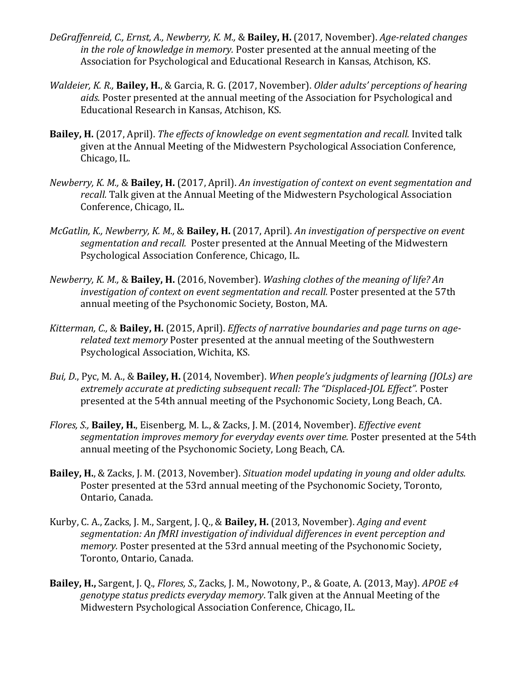- DeGraffenreid, C., Ernst, A., Newberry, K. M., & Bailey, H. (2017, November). Age-related changes *in the role of knowledge in memory.* Poster presented at the annual meeting of the Association for Psychological and Educational Research in Kansas, Atchison, KS.
- *Waldeier, K. R., Bailey, H., & Garcia, R. G. (2017, November). Older adults' perceptions of hearing* aids. Poster presented at the annual meeting of the Association for Psychological and Educational Research in Kansas, Atchison, KS.
- **Bailey, H.** (2017, April). *The effects of knowledge on event segmentation and recall.* Invited talk given at the Annual Meeting of the Midwestern Psychological Association Conference, Chicago, IL.
- *Newberry, K. M., & Bailey, H. (2017, April). An investigation of context on event segmentation and recall.* Talk given at the Annual Meeting of the Midwestern Psychological Association Conference, Chicago, IL.
- *McGatlin, K., Newberry, K. M., & Bailey, H. (2017, April). An investigation of perspective on event* segmentation and recall. Poster presented at the Annual Meeting of the Midwestern Psychological Association Conference, Chicago, IL.
- *Newberry, K. M., & Bailey, H. (2016, November). Washing clothes of the meaning of life? An investigation of context on event segmentation and recall.* Poster presented at the 57th annual meeting of the Psychonomic Society, Boston, MA.
- Kitterman, C., & Bailey, H. (2015, April). *Effects of narrative boundaries and page turns on agerelated text memory* Poster presented at the annual meeting of the Southwestern Psychological Association, Wichita, KS.
- *Bui, D., Pyc, M. A., & Bailey, H. (2014, November). When people's judgments of learning (JOLs) are* extremely accurate at predicting subsequent recall: The "Displaced-JOL Effect". Poster presented at the 54th annual meeting of the Psychonomic Society, Long Beach, CA.
- *Flores, S., Bailey, H., Eisenberg, M. L., & Zacks, J. M. (2014, November). <i>Effective event* segmentation *improves memory for everyday events over time.* Poster presented at the 54th annual meeting of the Psychonomic Society, Long Beach, CA.
- **Bailey, H.**, & Zacks, J. M. (2013, November). *Situation model updating in young and older adults.* Poster presented at the 53rd annual meeting of the Psychonomic Society, Toronto, Ontario, Canada.
- Kurby, C. A., Zacks, J. M., Sargent, J. O., & Bailey, H. (2013, November). Aging and event segmentation: An fMRI investigation of individual differences in event perception and *memory.* Poster presented at the 53rd annual meeting of the Psychonomic Society, Toronto, Ontario, Canada.
- **Bailey, H.,** Sargent, J. Q., *Flores, S., Zacks, J. M., Nowotony, P., & Goate, A. (2013, May). <i>APOE*  $\epsilon$ *4 genotype status predicts everyday memory*. Talk given at the Annual Meeting of the Midwestern Psychological Association Conference, Chicago, IL.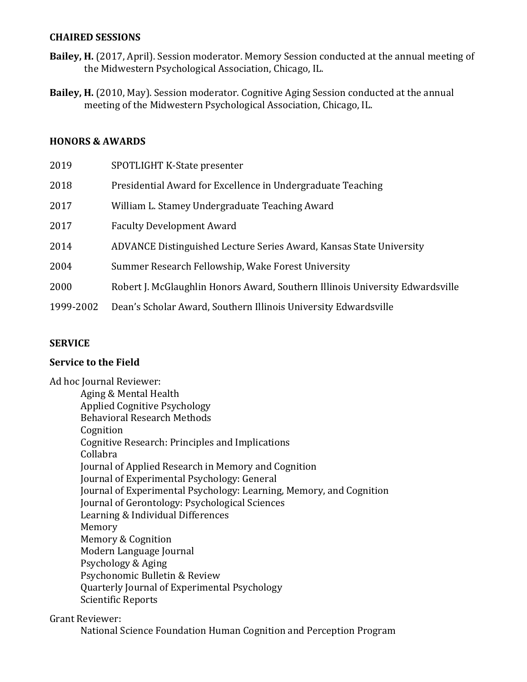#### **CHAIRED SESSIONS**

- **Bailey, H.** (2017, April). Session moderator. Memory Session conducted at the annual meeting of the Midwestern Psychological Association, Chicago, IL.
- Bailey, H. (2010, May). Session moderator. Cognitive Aging Session conducted at the annual meeting of the Midwestern Psychological Association, Chicago, IL.

#### **HONORS & AWARDS**

| 2019      | SPOTLIGHT K-State presenter                                                   |
|-----------|-------------------------------------------------------------------------------|
| 2018      | Presidential Award for Excellence in Undergraduate Teaching                   |
| 2017      | William L. Stamey Undergraduate Teaching Award                                |
| 2017      | <b>Faculty Development Award</b>                                              |
| 2014      | ADVANCE Distinguished Lecture Series Award, Kansas State University           |
| 2004      | Summer Research Fellowship, Wake Forest University                            |
| 2000      | Robert J. McGlaughlin Honors Award, Southern Illinois University Edwardsville |
| 1999-2002 | Dean's Scholar Award, Southern Illinois University Edwardsville               |

## **SERVICE**

## **Service to the Field**

Ad hoc Journal Reviewer: Aging & Mental Health Applied Cognitive Psychology Behavioral Research Methods Cognition Cognitive Research: Principles and Implications Collabra Journal of Applied Research in Memory and Cognition Journal of Experimental Psychology: General Journal of Experimental Psychology: Learning, Memory, and Cognition Journal of Gerontology: Psychological Sciences Learning & Individual Differences Memory Memory & Cognition Modern Language Journal Psychology & Aging Psychonomic Bulletin & Review Quarterly Journal of Experimental Psychology Scientific Reports

Grant Reviewer:

National Science Foundation Human Cognition and Perception Program